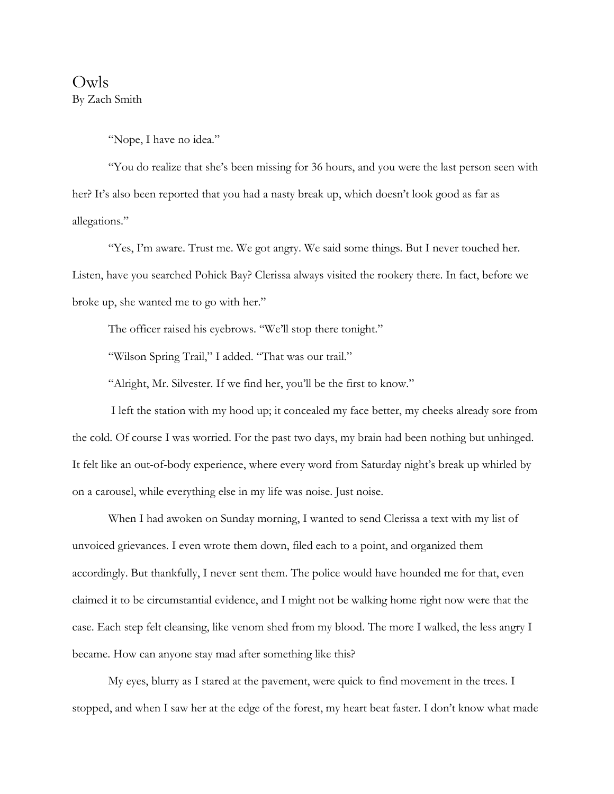Owls By Zach Smith

"Nope, I have no idea."

"You do realize that she's been missing for 36 hours, and you were the last person seen with her? It's also been reported that you had a nasty break up, which doesn't look good as far as allegations."

"Yes, I'm aware. Trust me. We got angry. We said some things. But I never touched her. Listen, have you searched Pohick Bay? Clerissa always visited the rookery there. In fact, before we broke up, she wanted me to go with her."

The officer raised his eyebrows. "We'll stop there tonight."

"Wilson Spring Trail," I added. "That was our trail."

"Alright, Mr. Silvester. If we find her, you'll be the first to know."

I left the station with my hood up; it concealed my face better, my cheeks already sore from the cold. Of course I was worried. For the past two days, my brain had been nothing but unhinged. It felt like an out-of-body experience, where every word from Saturday night's break up whirled by on a carousel, while everything else in my life was noise. Just noise.

When I had awoken on Sunday morning, I wanted to send Clerissa a text with my list of unvoiced grievances. I even wrote them down, filed each to a point, and organized them accordingly. But thankfully, I never sent them. The police would have hounded me for that, even claimed it to be circumstantial evidence, and I might not be walking home right now were that the case. Each step felt cleansing, like venom shed from my blood. The more I walked, the less angry I became. How can anyone stay mad after something like this?

My eyes, blurry as I stared at the pavement, were quick to find movement in the trees. I stopped, and when I saw her at the edge of the forest, my heart beat faster. I don't know what made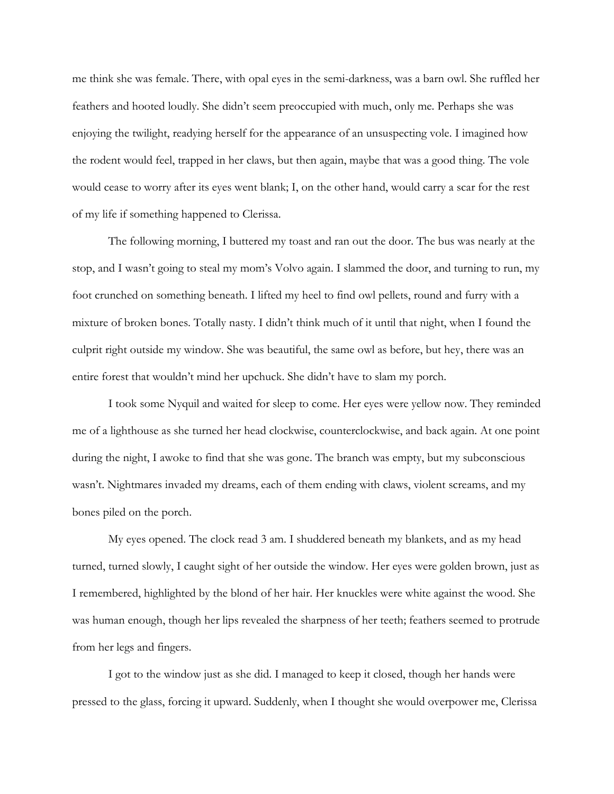me think she was female. There, with opal eyes in the semi-darkness, was a barn owl. She ruffled her feathers and hooted loudly. She didn't seem preoccupied with much, only me. Perhaps she was enjoying the twilight, readying herself for the appearance of an unsuspecting vole. I imagined how the rodent would feel, trapped in her claws, but then again, maybe that was a good thing. The vole would cease to worry after its eyes went blank; I, on the other hand, would carry a scar for the rest of my life if something happened to Clerissa.

The following morning, I buttered my toast and ran out the door. The bus was nearly at the stop, and I wasn't going to steal my mom's Volvo again. I slammed the door, and turning to run, my foot crunched on something beneath. I lifted my heel to find owl pellets, round and furry with a mixture of broken bones. Totally nasty. I didn't think much of it until that night, when I found the culprit right outside my window. She was beautiful, the same owl as before, but hey, there was an entire forest that wouldn't mind her upchuck. She didn't have to slam my porch.

I took some Nyquil and waited for sleep to come. Her eyes were yellow now. They reminded me of a lighthouse as she turned her head clockwise, counterclockwise, and back again. At one point during the night, I awoke to find that she was gone. The branch was empty, but my subconscious wasn't. Nightmares invaded my dreams, each of them ending with claws, violent screams, and my bones piled on the porch.

My eyes opened. The clock read 3 am. I shuddered beneath my blankets, and as my head turned, turned slowly, I caught sight of her outside the window. Her eyes were golden brown, just as I remembered, highlighted by the blond of her hair. Her knuckles were white against the wood. She was human enough, though her lips revealed the sharpness of her teeth; feathers seemed to protrude from her legs and fingers.

I got to the window just as she did. I managed to keep it closed, though her hands were pressed to the glass, forcing it upward. Suddenly, when I thought she would overpower me, Clerissa